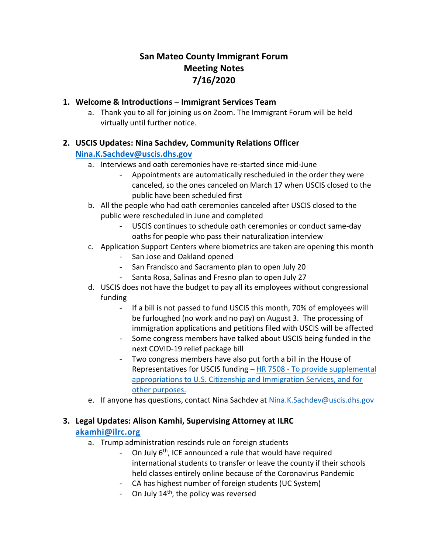# **San Mateo County Immigrant Forum Meeting Notes 7/16/2020**

#### **1. Welcome & Introductions – Immigrant Services Team**

a. Thank you to all for joining us on Zoom. The Immigrant Forum will be held virtually until further notice.

### **2. USCIS Updates: Nina Sachdev, Community Relations Officer**

#### **[Nina.K.Sachdev@uscis.dhs.gov](mailto:Nina.K.Sachdev@uscis.dhs.gov)**

- a. Interviews and oath ceremonies have re-started since mid-June
	- Appointments are automatically rescheduled in the order they were canceled, so the ones canceled on March 17 when USCIS closed to the public have been scheduled first
- b. All the people who had oath ceremonies canceled after USCIS closed to the public were rescheduled in June and completed
	- USCIS continues to schedule oath ceremonies or conduct same-day oaths for people who pass their naturalization interview
- c. Application Support Centers where biometrics are taken are opening this month
	- San Jose and Oakland opened
	- San Francisco and Sacramento plan to open July 20
	- Santa Rosa, Salinas and Fresno plan to open July 27
- d. USCIS does not have the budget to pay all its employees without congressional funding
	- If a bill is not passed to fund USCIS this month, 70% of employees will be furloughed (no work and no pay) on August 3. The processing of immigration applications and petitions filed with USCIS will be affected
	- Some congress members have talked about USCIS being funded in the next COVID-19 relief package bill
	- Two congress members have also put forth a bill in the House of Representatives for USCIS funding – HR 7508 - [To provide supplemental](https://protect-us.mimecast.com/s/6Q_1CYEYypCmzlDYSGlSTc)  [appropriations to U.S. Citizenship and Immigration Services, and for](https://protect-us.mimecast.com/s/6Q_1CYEYypCmzlDYSGlSTc)  [other purposes.](https://protect-us.mimecast.com/s/6Q_1CYEYypCmzlDYSGlSTc)
- e. If anyone has questions, contact Nina Sachdev at [Nina.K.Sachdev@uscis.dhs.gov](mailto:Nina.K.Sachdev@uscis.dhs.gov)

### **3. Legal Updates: Alison Kamhi, Supervising Attorney at ILRC**

### **[akamhi@ilrc.org](mailto:akamhi@ilrc.org)**

- a. Trump administration rescinds rule on foreign students
	- On July 6<sup>th</sup>, ICE announced a rule that would have required international students to transfer or leave the county if their schools held classes entirely online because of the Coronavirus Pandemic
	- CA has highest number of foreign students (UC System)
	- On July  $14<sup>th</sup>$ , the policy was reversed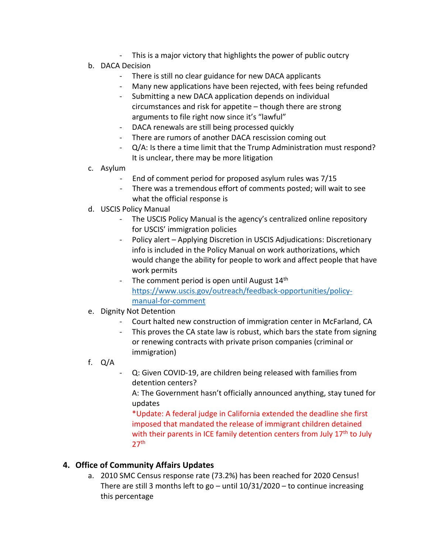- This is a major victory that highlights the power of public outcry
- b. DACA Decision
	- There is still no clear guidance for new DACA applicants
	- Many new applications have been rejected, with fees being refunded
	- Submitting a new DACA application depends on individual circumstances and risk for appetite – though there are strong arguments to file right now since it's "lawful"
	- DACA renewals are still being processed quickly
	- There are rumors of another DACA rescission coming out
	- Q/A: Is there a time limit that the Trump Administration must respond? It is unclear, there may be more litigation
- c. Asylum
	- End of comment period for proposed asylum rules was 7/15
	- There was a tremendous effort of comments posted; will wait to see what the official response is
- d. USCIS Policy Manual
	- The USCIS Policy Manual is the agency's centralized online repository for USCIS' immigration policies
	- Policy alert Applying Discretion in USCIS Adjudications: Discretionary info is included in the Policy Manual on work authorizations, which would change the ability for people to work and affect people that have work permits
	- The comment period is open until August 14<sup>th</sup> [https://www.uscis.gov/outreach/feedback-opportunities/policy](https://www.uscis.gov/outreach/feedback-opportunities/policy-manual-for-comment)[manual-for-comment](https://www.uscis.gov/outreach/feedback-opportunities/policy-manual-for-comment)
- e. Dignity Not Detention
	- Court halted new construction of immigration center in McFarland, CA
	- This proves the CA state law is robust, which bars the state from signing or renewing contracts with private prison companies (criminal or immigration)
- f. Q/A
	- Q: Given COVID-19, are children being released with families from detention centers?

A: The Government hasn't officially announced anything, stay tuned for updates

\*Update: A federal judge in California extended the deadline she first imposed that mandated the release of immigrant children detained with their parents in ICE family detention centers from July 17<sup>th</sup> to July  $27<sup>th</sup>$ 

### **4. Office of Community Affairs Updates**

a. 2010 SMC Census response rate (73.2%) has been reached for 2020 Census! There are still 3 months left to go – until  $10/31/2020$  – to continue increasing this percentage